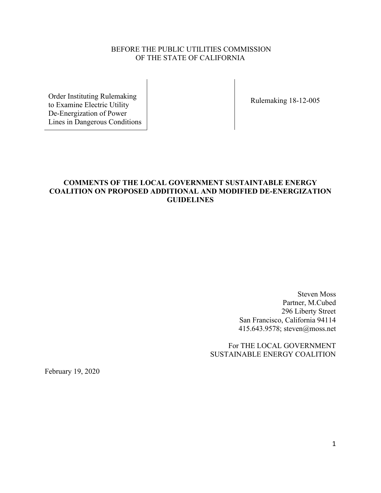## BEFORE THE PUBLIC UTILITIES COMMISSION OF THE STATE OF CALIFORNIA

Order Instituting Rulemaking to Examine Electric Utility De-Energization of Power Lines in Dangerous Conditions

Rulemaking 18-12-005

## **COMMENTS OF THE LOCAL GOVERNMENT SUSTAINTABLE ENERGY COALITION ON PROPOSED ADDITIONAL AND MODIFIED DE-ENERGIZATION GUIDELINES**

 Steven Moss Partner, M.Cubed 296 Liberty Street San Francisco, California 94114 415.643.9578; steven@moss.net

 For THE LOCAL GOVERNMENT SUSTAINABLE ENERGY COALITION

February 19, 2020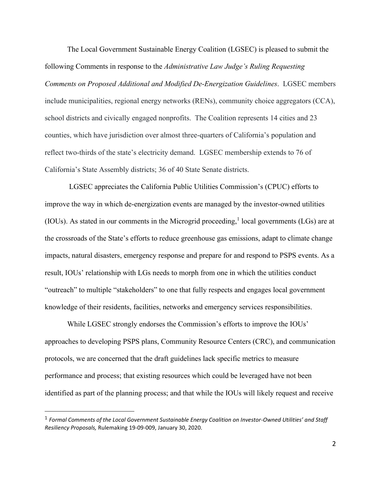The Local Government Sustainable Energy Coalition (LGSEC) is pleased to submit the following Comments in response to the *Administrative Law Judge's Ruling Requesting Comments on Proposed Additional and Modified De-Energization Guidelines*. LGSEC members include municipalities, regional energy networks (RENs), community choice aggregators (CCA), school districts and civically engaged nonprofits. The Coalition represents 14 cities and 23 counties, which have jurisdiction over almost three-quarters of California's population and reflect two-thirds of the state's electricity demand. LGSEC membership extends to 76 of California's State Assembly districts; 36 of 40 State Senate districts.

 LGSEC appreciates the California Public Utilities Commission's (CPUC) efforts to improve the way in which de-energization events are managed by the investor-owned utilities (IOUs). As stated in our comments in the Microgrid proceeding,<sup>1</sup> local governments (LGs) are at the crossroads of the State's efforts to reduce greenhouse gas emissions, adapt to climate change impacts, natural disasters, emergency response and prepare for and respond to PSPS events. As a result, IOUs' relationship with LGs needs to morph from one in which the utilities conduct "outreach" to multiple "stakeholders" to one that fully respects and engages local government knowledge of their residents, facilities, networks and emergency services responsibilities.

 While LGSEC strongly endorses the Commission's efforts to improve the IOUs' approaches to developing PSPS plans, Community Resource Centers (CRC), and communication protocols, we are concerned that the draft guidelines lack specific metrics to measure performance and process; that existing resources which could be leveraged have not been identified as part of the planning process; and that while the IOUs will likely request and receive

<sup>1</sup> *Formal Comments of the Local Government Sustainable Energy Coalition on Investor-Owned Utilities' and Staff Resiliency Proposals,* Rulemaking 19-09-009, January 30, 2020.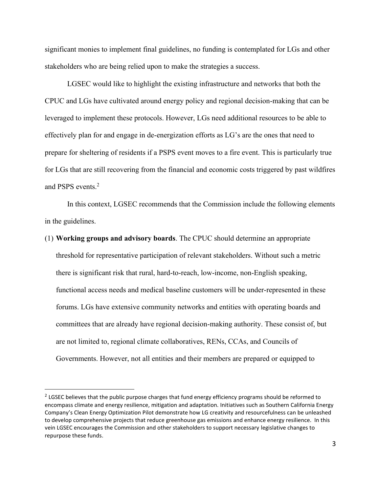significant monies to implement final guidelines, no funding is contemplated for LGs and other stakeholders who are being relied upon to make the strategies a success.

LGSEC would like to highlight the existing infrastructure and networks that both the CPUC and LGs have cultivated around energy policy and regional decision-making that can be leveraged to implement these protocols. However, LGs need additional resources to be able to effectively plan for and engage in de-energization efforts as LG's are the ones that need to prepare for sheltering of residents if a PSPS event moves to a fire event. This is particularly true for LGs that are still recovering from the financial and economic costs triggered by past wildfires and PSPS events<sup>2</sup>

In this context, LGSEC recommends that the Commission include the following elements in the guidelines.

(1) **Working groups and advisory boards**. The CPUC should determine an appropriate threshold for representative participation of relevant stakeholders. Without such a metric there is significant risk that rural, hard-to-reach, low-income, non-English speaking, functional access needs and medical baseline customers will be under-represented in these forums. LGs have extensive community networks and entities with operating boards and committees that are already have regional decision-making authority. These consist of, but are not limited to, regional climate collaboratives, RENs, CCAs, and Councils of Governments. However, not all entities and their members are prepared or equipped to

<sup>&</sup>lt;sup>2</sup> LGSEC believes that the public purpose charges that fund energy efficiency programs should be reformed to encompass climate and energy resilience, mitigation and adaptation. Initiatives such as Southern California Energy Company's Clean Energy Optimization Pilot demonstrate how LG creativity and resourcefulness can be unleashed to develop comprehensive projects that reduce greenhouse gas emissions and enhance energy resilience. In this vein LGSEC encourages the Commission and other stakeholders to support necessary legislative changes to repurpose these funds.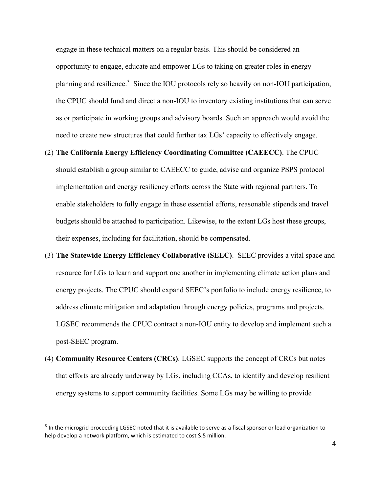engage in these technical matters on a regular basis. This should be considered an opportunity to engage, educate and empower LGs to taking on greater roles in energy planning and resilience.<sup>3</sup> Since the IOU protocols rely so heavily on non-IOU participation, the CPUC should fund and direct a non-IOU to inventory existing institutions that can serve as or participate in working groups and advisory boards. Such an approach would avoid the need to create new structures that could further tax LGs' capacity to effectively engage.

## (2) **The California Energy Efficiency Coordinating Committee (CAEECC)**. The CPUC

should establish a group similar to CAEECC to guide, advise and organize PSPS protocol implementation and energy resiliency efforts across the State with regional partners. To enable stakeholders to fully engage in these essential efforts, reasonable stipends and travel budgets should be attached to participation. Likewise, to the extent LGs host these groups, their expenses, including for facilitation, should be compensated.

- (3) **The Statewide Energy Efficiency Collaborative (SEEC)**. SEEC provides a vital space and resource for LGs to learn and support one another in implementing climate action plans and energy projects. The CPUC should expand SEEC's portfolio to include energy resilience, to address climate mitigation and adaptation through energy policies, programs and projects. LGSEC recommends the CPUC contract a non-IOU entity to develop and implement such a post-SEEC program.
- (4) **Community Resource Centers (CRCs)**. LGSEC supports the concept of CRCs but notes that efforts are already underway by LGs, including CCAs, to identify and develop resilient energy systems to support community facilities. Some LGs may be willing to provide

 $3$  In the microgrid proceeding LGSEC noted that it is available to serve as a fiscal sponsor or lead organization to help develop a network platform, which is estimated to cost \$.5 million.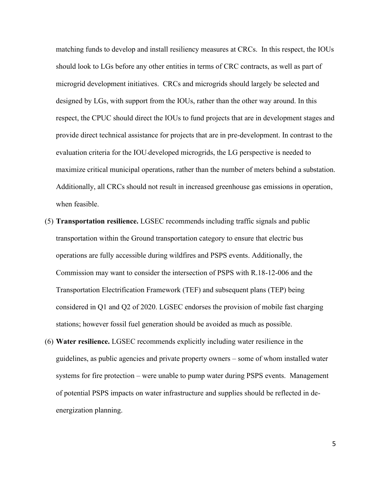matching funds to develop and install resiliency measures at CRCs. In this respect, the IOUs should look to LGs before any other entities in terms of CRC contracts, as well as part of microgrid development initiatives. CRCs and microgrids should largely be selected and designed by LGs, with support from the IOUs, rather than the other way around. In this respect, the CPUC should direct the IOUs to fund projects that are in development stages and provide direct technical assistance for projects that are in pre-development. In contrast to the evaluation criteria for the IOU-developed microgrids, the LG perspective is needed to maximize critical municipal operations, rather than the number of meters behind a substation. Additionally, all CRCs should not result in increased greenhouse gas emissions in operation, when feasible.

- (5) **Transportation resilience.** LGSEC recommends including traffic signals and public transportation within the Ground transportation category to ensure that electric bus operations are fully accessible during wildfires and PSPS events. Additionally, the Commission may want to consider the intersection of PSPS with R.18-12-006 and the Transportation Electrification Framework (TEF) and subsequent plans (TEP) being considered in Q1 and Q2 of 2020. LGSEC endorses the provision of mobile fast charging stations; however fossil fuel generation should be avoided as much as possible.
- (6) **Water resilience.** LGSEC recommends explicitly including water resilience in the guidelines, as public agencies and private property owners – some of whom installed water systems for fire protection – were unable to pump water during PSPS events. Management of potential PSPS impacts on water infrastructure and supplies should be reflected in deenergization planning.